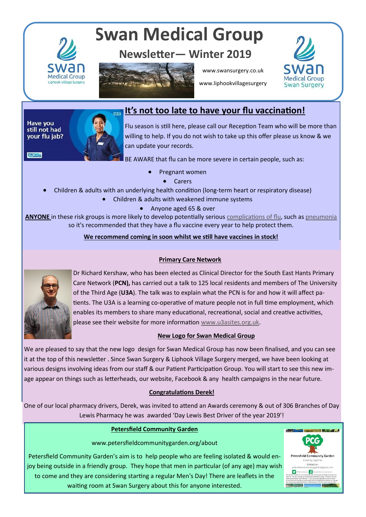

# **Swan Medical Group**

# **Newsletter— Winter 2019**



www.swansurgery.co.uk



www.liphookvillagesurgery

#### Have you still not had your flu jab?



# **It's not too late to have your flu vaccination!**

Flu season is still here, please call our Reception Team who will be more than willing to help. If you do not wish to take up this offer please us know & we can update your records.

**STAYWELL** 



BE AWARE that flu can be more severe in certain people, such as:

- Pregnant women
	- Carers
- Children & adults with an underlying health condition (long-term heart or respiratory disease)
	- Children & adults with weakened immune systems
		- Anyone aged 65 & over

**ANYONE** in these risk groups is more likely to develop potentially serious [complications of flu,](https://www.nhs.uk/conditions/flu/) such as [pneumonia](https://www.nhs.uk/conditions/pneumonia/) so it's recommended that they have a flu vaccine every year to help protect them.

#### **We recommend coming in soon whilst we still have vaccines in stock!**

#### **Primary Care Network**



Dr Richard Kershaw, who has been elected as Clinical Director for the South East Hants Primary Care Network (**PCN),** has carried out a talk to 125 local residents and members of The University of the Third Age (**U3A**). The talk was to explain what the PCN is for and how it will affect patients. The U3A is a learning co-operative of mature people not in full time employment, which enables its members to share many educational, recreational, social and creative activities, please see their website for more information [www.u3asites.org.uk.](http://www.u3asites.org.uk)

## **New Logo for Swan Medical Group**

We are pleased to say that the new logo design for Swan Medical Group has now been finalised, and you can see it at the top of this newsletter . Since Swan Surgery & Liphook Village Surgery merged, we have been looking at various designs involving ideas from our staff & our Patient Participation Group. You will start to see this new image appear on things such as letterheads, our website, Facebook & any health campaigns in the near future.

## **Congratulations Derek!**

One of our local pharmacy drivers, Derek, was invited to attend an Awards ceremony & out of 306 Branches of Day Lewis Pharmacy he was awarded 'Day Lewis Best Driver of the year 2019'!

## **Petersfield Community Garden**

www.petersfieldcommunitygarden.org/about

Petersfield Community Garden's aim is to help people who are feeling isolated & would enjoy being outside in a friendly group. They hope that men in particular (of any age) may wish to come and they are considering starting a regular Men's Day! There are leaflets in the waiting room at Swan Surgery about this for anyone interested.